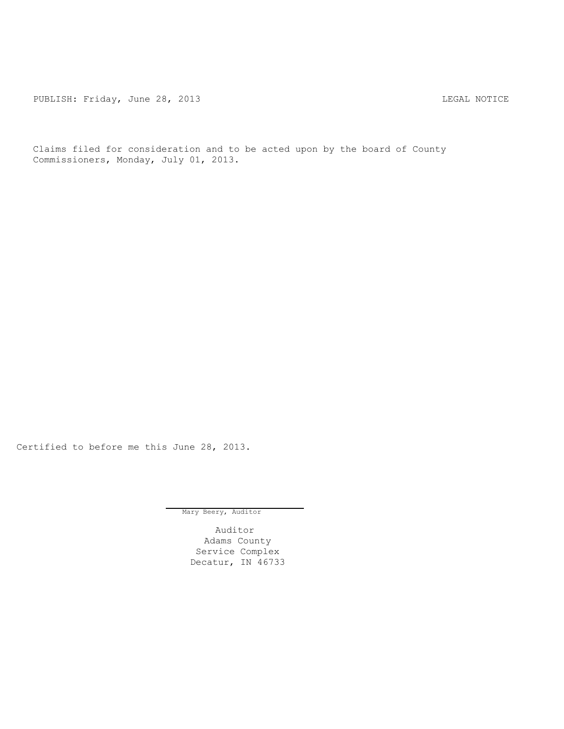PUBLISH: Friday, June 28, 2013 <br>
LEGAL NOTICE

Claims filed for consideration and to be acted upon by the board of County Commissioners, Monday, July 01, 2013.

Certified to before me this June 28, 2013.

Mary Beery, Auditor

Auditor Adams County Service Complex Decatur, IN 46733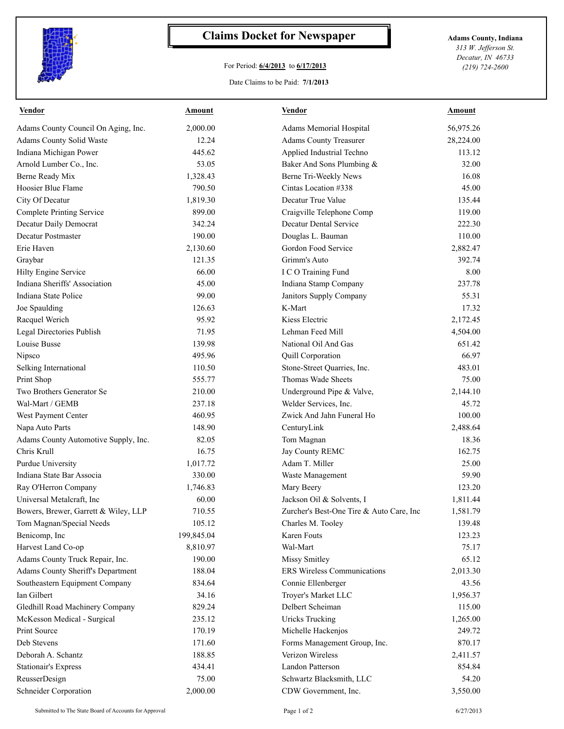

## **Claims Docket for Newspaper Adams County, Indiana**

## For Period: **6/4/2013** to **6/17/2013**

*313 W. Jefferson St. Decatur, IN 46733 (219) 724-2600*

## Date Claims to be Paid: **7/1/2013**

| <b>Vendor</b>                        | <u>Amount</u> | <b>Vendor</b>                            | <u>Amount</u> |
|--------------------------------------|---------------|------------------------------------------|---------------|
| Adams County Council On Aging, Inc.  | 2.000.00      | Adams Memorial Hospital                  | 56,975.26     |
| Adams County Solid Waste             | 12.24         | <b>Adams County Treasurer</b>            | 28,224.00     |
| Indiana Michigan Power               | 445.62        | Applied Industrial Techno                | 113.12        |
| Arnold Lumber Co., Inc.              | 53.05         | Baker And Sons Plumbing &                | 32.00         |
| Berne Ready Mix                      | 1,328.43      | Berne Tri-Weekly News                    | 16.08         |
| Hoosier Blue Flame                   | 790.50        | Cintas Location #338                     | 45.00         |
| City Of Decatur                      | 1,819.30      | Decatur True Value                       | 135.44        |
| <b>Complete Printing Service</b>     | 899.00        | Craigville Telephone Comp                | 119.00        |
| Decatur Daily Democrat               | 342.24        | <b>Decatur Dental Service</b>            | 222.30        |
| Decatur Postmaster                   | 190.00        | Douglas L. Bauman                        | 110.00        |
| Erie Haven                           | 2,130.60      | Gordon Food Service                      | 2,882.47      |
| Graybar                              | 121.35        | Grimm's Auto                             | 392.74        |
| Hilty Engine Service                 | 66.00         | I C O Training Fund                      | 8.00          |
| Indiana Sheriffs' Association        | 45.00         | Indiana Stamp Company                    | 237.78        |
| Indiana State Police                 | 99.00         | Janitors Supply Company                  | 55.31         |
| Joe Spaulding                        | 126.63        | K-Mart                                   | 17.32         |
| Racquel Werich                       | 95.92         | Kiess Electric                           | 2,172.45      |
| Legal Directories Publish            | 71.95         | Lehman Feed Mill                         | 4,504.00      |
| Louise Busse                         | 139.98        | National Oil And Gas                     | 651.42        |
| Nipsco                               | 495.96        | Quill Corporation                        | 66.97         |
| Selking International                | 110.50        | Stone-Street Quarries, Inc.              | 483.01        |
| Print Shop                           | 555.77        | Thomas Wade Sheets                       | 75.00         |
| Two Brothers Generator Se            | 210.00        | Underground Pipe & Valve,                | 2,144.10      |
| Wal-Mart / GEMB                      | 237.18        | Welder Services, Inc.                    | 45.72         |
| West Payment Center                  | 460.95        | Zwick And Jahn Funeral Ho                | 100.00        |
| Napa Auto Parts                      | 148.90        | CenturyLink                              | 2,488.64      |
| Adams County Automotive Supply, Inc. | 82.05         | Tom Magnan                               | 18.36         |
| Chris Krull                          | 16.75         | Jay County REMC                          | 162.75        |
| Purdue University                    | 1,017.72      | Adam T. Miller                           | 25.00         |
| Indiana State Bar Associa            | 330.00        | Waste Management                         | 59.90         |
| Ray O'Herron Company                 | 1,746.83      | Mary Beery                               | 123.20        |
| Universal Metalcraft, Inc            | 60.00         | Jackson Oil & Solvents, I                | 1,811.44      |
| Bowers, Brewer, Garrett & Wiley, LLP | 710.55        | Zurcher's Best-One Tire & Auto Care, Inc | 1,581.79      |
| Tom Magnan/Special Needs             | 105.12        | Charles M. Tooley                        | 139.48        |
| Benicomp, Inc                        | 199,845.04    | Karen Fouts                              | 123.23        |
| Harvest Land Co-op                   | 8,810.97      | Wal-Mart                                 | 75.17         |
| Adams County Truck Repair, Inc.      | 190.00        | Missy Smitley                            | 65.12         |
| Adams County Sheriff's Department    | 188.04        | <b>ERS Wireless Communications</b>       | 2,013.30      |
| Southeastern Equipment Company       | 834.64        | Connie Ellenberger                       | 43.56         |
| Ian Gilbert                          | 34.16         | Troyer's Market LLC                      | 1,956.37      |
| Gledhill Road Machinery Company      | 829.24        | Delbert Scheiman                         | 115.00        |
| McKesson Medical - Surgical          | 235.12        | <b>Uricks Trucking</b>                   | 1,265.00      |
| Print Source                         | 170.19        | Michelle Hackenjos                       | 249.72        |
| Deb Stevens                          | 171.60        | Forms Management Group, Inc.             | 870.17        |
| Deborah A. Schantz                   | 188.85        | Verizon Wireless                         |               |
|                                      |               | Landon Patterson                         | 2,411.57      |
| <b>Stationair's Express</b>          | 434.41        |                                          | 854.84        |
| ReusserDesign                        | 75.00         | Schwartz Blacksmith, LLC                 | 54.20         |
| Schneider Corporation                | 2,000.00      | CDW Government, Inc.                     | 3,550.00      |